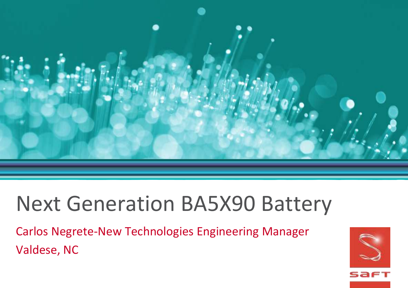

# Next Generation BA5X90 Battery

Carlos Negrete-New Technologies Engineering Manager Valdese, NC

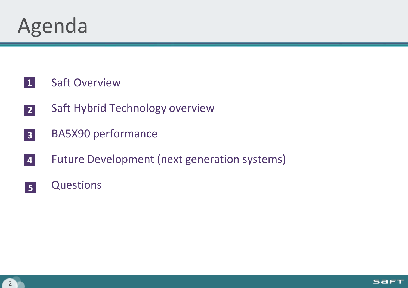

- **1** Saft Overview
- **2** Saft Hybrid Technology overview
- **3** BA5X90 performance
- **4** Future Development (next generation systems)
- **5 Questions**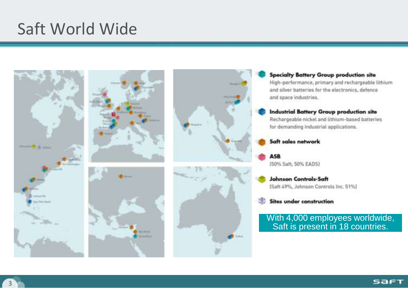#### Saft World Wide



#### **Specialty Battery Group production site** High-performance, primary and rechargeable lithium and silver batteries for the electronics, defence and space industries.

#### **Industrial Battery Group production site** Rechargeable nickel and lithium-based batteries

for demanding industrial applications.

#### Saft sales network

**ASB** (50% Saft, 50% EADS)

#### **Johnson Controls-Saft** (Saft 49%, Johnson Controls Inc. 51%)

#### **Sites under construction**

With 4,000 employees worldwide, Saft is present in 18 countries.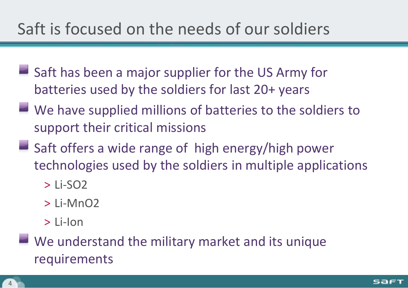### Saft is focused on the needs of our soldiers

- $\blacksquare$  Saft has been a major supplier for the US Army for batteries used by the soldiers for last 20+ years
- We have supplied millions of batteries to the soldiers to support their critical missions
- $\blacksquare$  Saft offers a wide range of high energy/high power technologies used by the soldiers in multiple applications
	- $>$  Li-SO<sub>2</sub>
	- > Li-MnO2
	- > Li-Ion
- We understand the military market and its unique requirements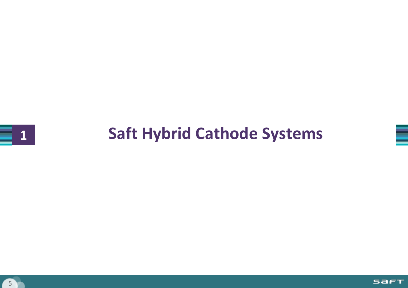## **Saft Hybrid Cathode Systems**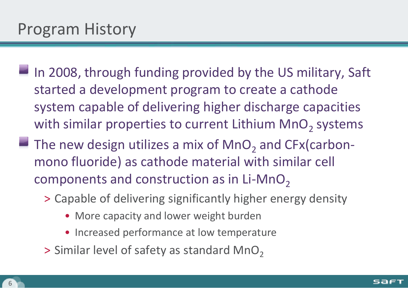- $\blacksquare$  In 2008, through funding provided by the US military, Saft started a development program to create a cathode system capable of delivering higher discharge capacities with similar properties to current Lithium  $\mathsf{MnO}_2$  systems
- The new design utilizes a mix of  $\mathsf{MnO}_2$  and  $\mathsf{CFx}(\mathsf{carbon}$ mono fluoride) as cathode material with similar cell components and construction as in  $Li-MnO<sub>2</sub>$ 
	- > Capable of delivering significantly higher energy density
		- More capacity and lower weight burden
		- Increased performance at low temperature
	- $>$  Similar level of safety as standard MnO<sub>2</sub>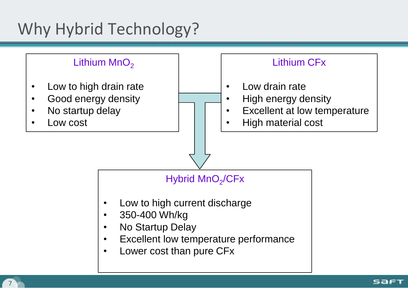### Why Hybrid Technology?

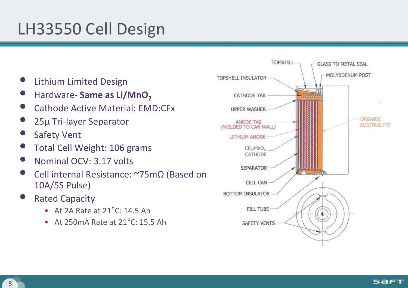### LH33550 Cell Design

- Lithium Limited Design
- Hardware- **Same as Li/MnO<sup>2</sup>**
- Cathode Active Material: EMD:CFx
- <sup>25</sup><sup>μ</sup> Tri-layer Separator
- **Safety Vent**
- Total Cell Weight: 106 grams
- Nominal OCV: 3.17 volts
- Cell internal Resistance: ~75m<sup>Ω</sup> (Based on 10A/5S Pulse)
- **Rated Capacity** 
	- At 2A Rate at 21°C: 14.5 Ah
	- At 250mA Rate at 21°C: 15.5 Ah

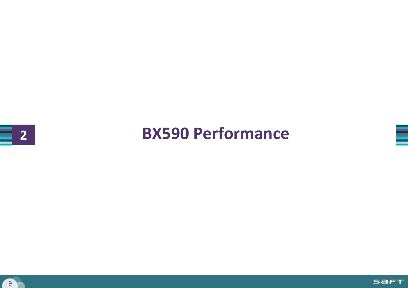### **BX590 Performance**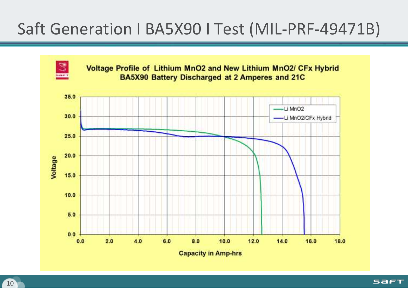### Saft Generation I BA5X90 I Test (MIL-PRF-49471B)



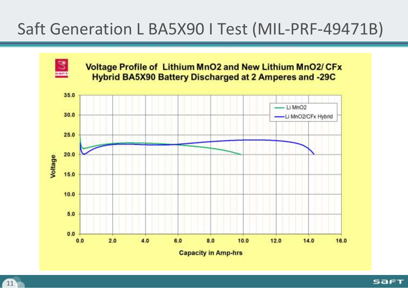### Saft Generation L BA5X90 I Test (MIL-PRF-49471B)



**SAFT**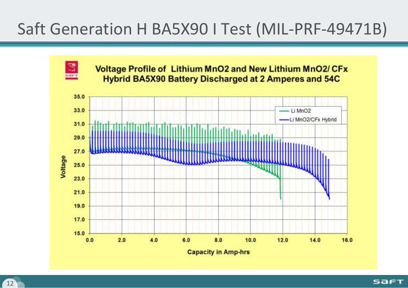### Saft Generation H BA5X90 I Test (MIL-PRF-49471B)

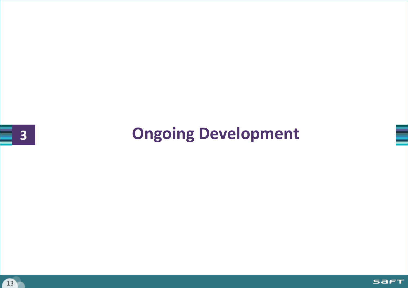### **Ongoing Development**

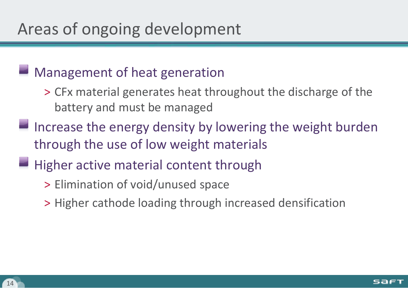#### Management of heat generation

- > CFx material generates heat throughout the discharge of the battery and must be managed
- Increase the energy density by lowering the weight burden through the use of low weight materials
- Higher active material content through
	- > Elimination of void/unused space
	- > Higher cathode loading through increased densification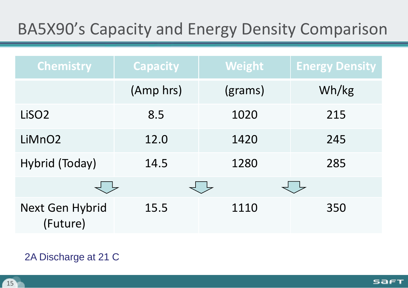### BA5X90's Capacity and Energy Density Comparison

| <b>Chemistry</b>            | <b>Capacity</b> | <b>Weight</b> | <b>Energy Density</b> |
|-----------------------------|-----------------|---------------|-----------------------|
|                             | (Amp hrs)       | (grams)       | Wh/kg                 |
| LiSO <sub>2</sub>           | 8.5             | 1020          | 215                   |
| LiMnO <sub>2</sub>          | 12.0            | 1420          | 245                   |
| Hybrid (Today)              | 14.5            | 1280          | 285                   |
|                             |                 |               |                       |
| Next Gen Hybrid<br>(Future) | 15.5            | 1110          | 350                   |

#### 2A Discharge at 21 C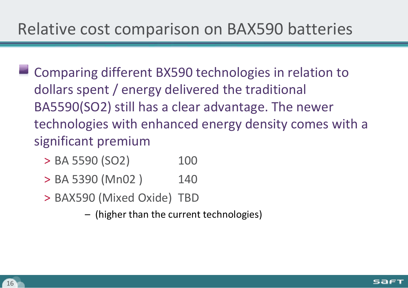- **EXTERN Comparing different BX590 technologies in relation to** dollars spent / energy delivered the traditional BA5590(SO2) still has a clear advantage. The newer technologies with enhanced energy density comes with a significant premium
	- $>$  BA 5590 (SO2) 100
	- > BA 5390 (Mn02) 140
	- > BAX590 (Mixed Oxide) TBD
		- (higher than the current technologies)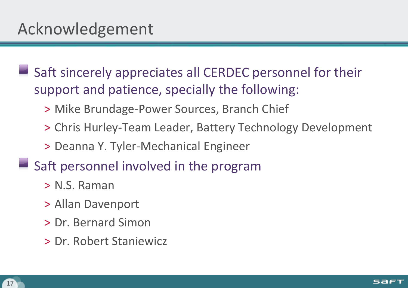Saft sincerely appreciates all CERDEC personnel for their support and patience, specially the following:

- > Mike Brundage-Power Sources, Branch Chief
- > Chris Hurley-Team Leader, Battery Technology Development

> Deanna Y. Tyler-Mechanical Engineer

 $\blacksquare$  Saft personnel involved in the program

- > N.S. Raman
- > Allan Davenport
- > Dr. Bernard Simon
- > Dr. Robert Staniewicz